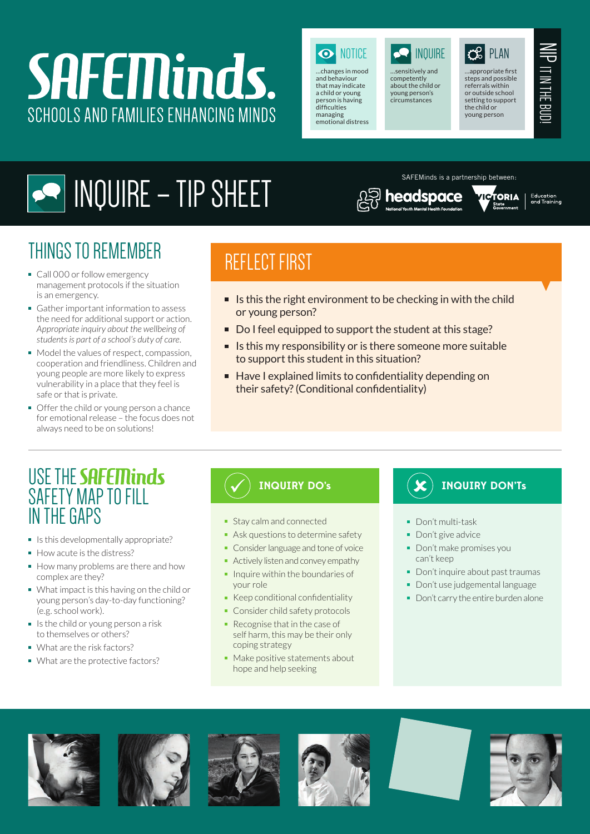# **SAFEMinds.** SCHOOLS AND FAMILIES ENHANCING MINDS



…changes in mood and behaviour that may indicate a child or young person is having difficulties managing emotional distress



…sensitively and competently about the child or young person's circumstances

headspace



…appropriate first steps and possible referrals within or outside school setting to support the child or young person

TORIA

SAFEMinds is a partnership between:



Education<br>and Training

## INQUIRE – TIP SHEET

## THINGS TO REMEMBER

- Call 000 or follow emergency management protocols if the situation is an emergency.
- Gather important information to assess the need for additional support or action. *Appropriate inquiry about the wellbeing of students is part of a school's duty of care.*
- Model the values of respect, compassion, cooperation and friendliness. Children and young people are more likely to express vulnerability in a place that they feel is safe or that is private.
- Offer the child or young person a chance for emotional release – the focus does not always need to be on solutions!

## REFLECT FIRST

- If Is this the right environment to be checking in with the child or young person?
- Do I feel equipped to support the student at this stage?
- $\blacksquare$  Is this my responsibility or is there someone more suitable to support this student in this situation?
- Have I explained limits to confidentiality depending on their safety?(Conditional confidentiality)

### USE THE SAFETY MAP TO FILL IN THE GAPS

- $\blacksquare$  Is this developmentally appropriate?
- How acute is the distress?
- How many problems are there and how complex are they?
- What impact is this having on the child or young person's day-to-day functioning? (e.g. school work).
- $\blacksquare$  Is the child or young person a risk to themselves or others?
- What are the risk factors?
- What are the protective factors?

- **Stay calm and connected**
- Ask questions to determine safety
- Consider language and tone of voice
- Actively listen and convey empathy
- $\blacksquare$  Inquire within the boundaries of your role
- Keep conditional confidentiality
- Consider child safety protocols
- Recognise that in the case of self harm, this may be their only coping strategy
- Make positive statements about hope and help seeking

### **INQUIRY DO's INQUIRY DON'Ts**

- Don't multi-task
- Don't give advice
- Don't make promises you can't keep
- Don't inquire about past traumas
- Don't use judgemental language
- Don't carry the entire burden alone